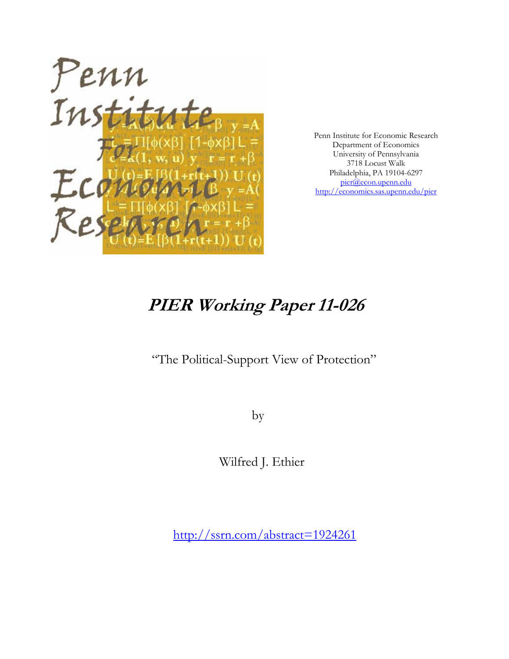

Penn Institute for Economic Research Department of Economics University of Pennsylvania 3718 Locust Walk Philadelphia, PA 19104-6297 pier@econ.upenn.edu http://economics.sas.upenn.edu/pier

# **PIER Working Paper 11-026**

"The Political-Support View of Protection"

by

Wilfred J. Ethier

http://ssrn.com/abstract=1924261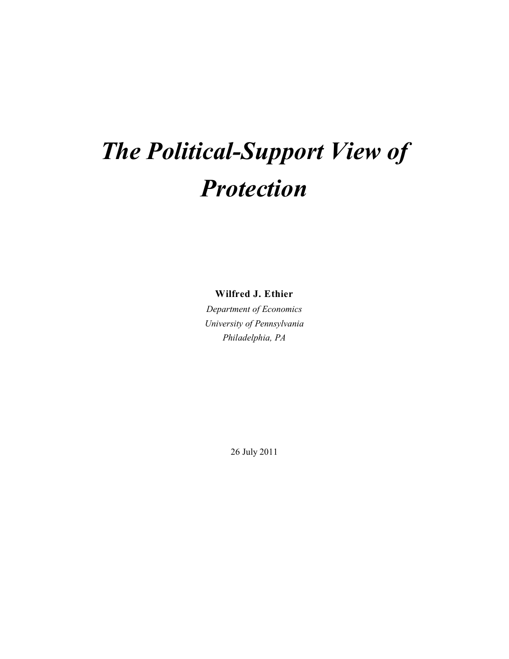# *The Political-Support View of Protection*

**Wilfred J. Ethier**

*Department of Economics University of Pennsylvania Philadelphia, PA*

26 July 2011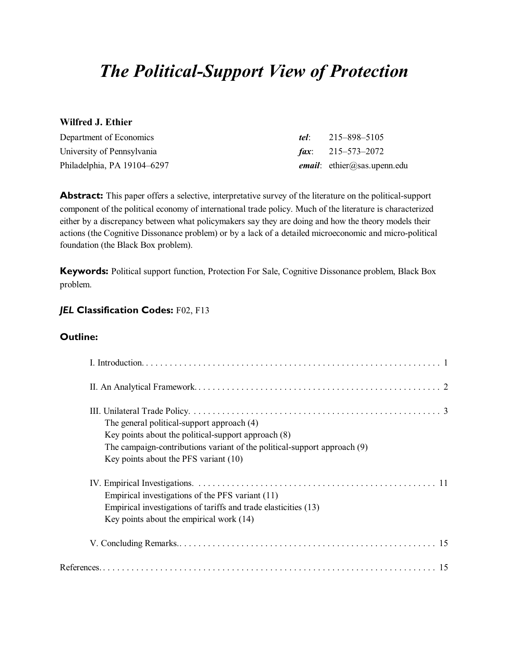# *The Political-Support View of Protection*

#### **Wilfred J. Ethier**

| Department of Economics     | tel: | 215-898-5105                        |
|-----------------------------|------|-------------------------------------|
| University of Pennsylvania  |      | <i>fax</i> : $215 - 573 - 2072$     |
| Philadelphia, PA 19104–6297 |      | <i>email</i> : ethier@sas.upenn.edu |

**Abstract:** This paper offers a selective, interpretative survey of the literature on the political-support component of the political economy of international trade policy. Much of the literature is characterized either by a discrepancy between what policymakers say they are doing and how the theory models their actions (the Cognitive Dissonance problem) or by a lack of a detailed microeconomic and micro-political foundation (the Black Box problem).

**Keywords:** Political support function, Protection For Sale, Cognitive Dissonance problem, Black Box problem.

#### *JEL* **Classification Codes:** F02, F13

#### **Outline:**

| The general political-support approach (4)<br>Key points about the political-support approach $(8)$ |  |
|-----------------------------------------------------------------------------------------------------|--|
| The campaign-contributions variant of the political-support approach (9)                            |  |
| Key points about the PFS variant (10)                                                               |  |
|                                                                                                     |  |
| Empirical investigations of the PFS variant (11)                                                    |  |
| Empirical investigations of tariffs and trade elasticities (13)                                     |  |
| Key points about the empirical work $(14)$                                                          |  |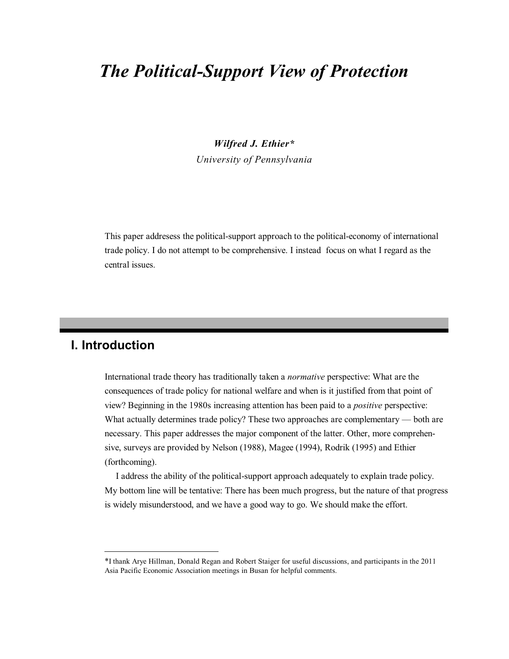## *The Political-Support View of Protection*

*Wilfred J. Ethier\**

*University of Pennsylvania*

This paper addresess the political-support approach to the political-economy of international trade policy. I do not attempt to be comprehensive. I instead focus on what I regard as the central issues.

## **I. Introduction**

International trade theory has traditionally taken a *normative* perspective: What are the consequences of trade policy for national welfare and when is it justified from that point of view? Beginning in the 1980s increasing attention has been paid to a *positive* perspective: What actually determines trade policy? These two approaches are complementary — both are necessary. This paper addresses the major component of the latter. Other, more comprehensive, surveys are provided by Nelson (1988), Magee (1994), Rodrik (1995) and Ethier (forthcoming).

I address the ability of the political-support approach adequately to explain trade policy. My bottom line will be tentative: There has been much progress, but the nature of that progress is widely misunderstood, and we have a good way to go. We should make the effort.

<sup>\*</sup>I thank Arye Hillman, Donald Regan and Robert Staiger for useful discussions, and participants in the 2011 Asia Pacific Economic Association meetings in Busan for helpful comments.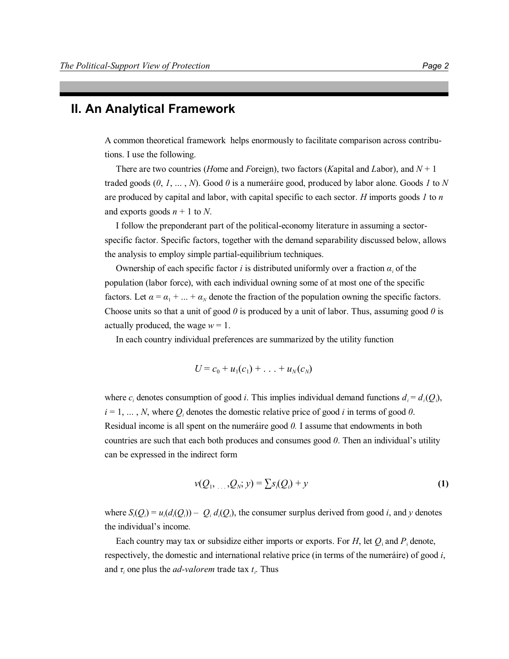#### **II. An Analytical Framework**

A common theoretical framework helps enormously to facilitate comparison across contributions. I use the following.

There are two countries (*H*ome and *F*oreign), two factors (*K*apital and *L*abor), and *N* + 1 traded goods (*0*, *1*, ... , *N*). Good *0* is a numeráire good, produced by labor alone. Goods *1* to *N* are produced by capital and labor, with capital specific to each sector. *H* imports goods *1* to *n* and exports goods  $n + 1$  to *N*.

I follow the preponderant part of the political-economy literature in assuming a sectorspecific factor. Specific factors, together with the demand separability discussed below, allows the analysis to employ simple partial-equilibrium techniques.

Ownership of each specific factor *i* is distributed uniformly over a fraction  $\alpha_i$  of the population (labor force), with each individual owning some of at most one of the specific factors. Let  $\alpha = \alpha_1 + ... + \alpha_N$  denote the fraction of the population owning the specific factors. Choose units so that a unit of good  $\theta$  is produced by a unit of labor. Thus, assuming good  $\theta$  is actually produced, the wage  $w = 1$ .

In each country individual preferences are summarized by the utility function

$$
U = c_0 + u_1(c_1) + \ldots + u_N(c_N)
$$

where  $c_i$  denotes consumption of good *i*. This implies individual demand functions  $d_i = d_i(Q_i)$ ,  $i = 1, \ldots, N$ , where  $Q_i$  denotes the domestic relative price of good *i* in terms of good *0*. Residual income is all spent on the numeráire good *0.* I assume that endowments in both countries are such that each both produces and consumes good  $\theta$ . Then an individual's utility can be expressed in the indirect form

$$
v(Q_1, \ldots, Q_N; y) = \sum s_i(Q_i) + y \tag{1}
$$

where  $S_i(Q_i) = u_i(d_i(Q_i)) - Q_i d_i(Q_i)$ , the consumer surplus derived from good *i*, and *y* denotes the individual's income.

Each country may tax or subsidize either imports or exports. For *H*, let  $Q_i$  and  $P_i$  denote, respectively, the domestic and international relative price (in terms of the numeráire) of good *i*, and  $\tau$ <sub>*i*</sub> one plus the *ad-valorem* trade tax  $t$ <sub>*i*</sub>. Thus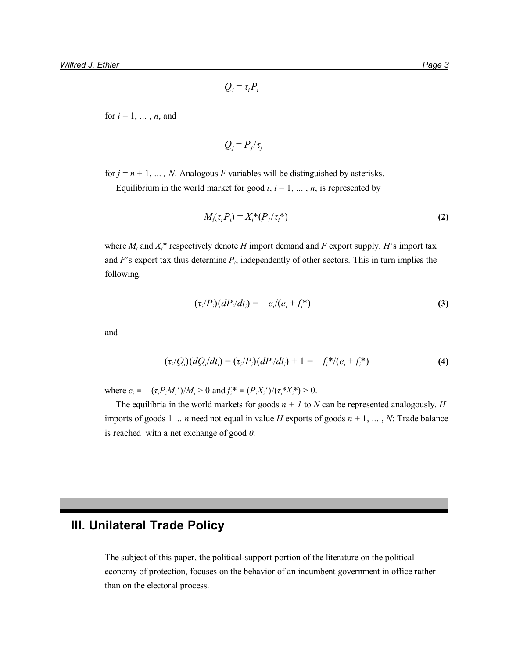$$
Q_i = \tau_i P_i
$$

for  $i = 1, ..., n$ , and

$$
Q_j = P_j / \tau_j
$$

for  $j = n + 1, \ldots, N$ . Analogous *F* variables will be distinguished by asterisks. Equilibrium in the world market for good  $i, i = 1, \ldots, n$ , is represented by

$$
M_i(\tau_i P_i) = X_i^*(P_i/\tau_i^*)
$$
 (2)

where  $M_i$  and  $X_i^*$  respectively denote  $H$  import demand and  $F$  export supply.  $H$ 's import tax and *F*'s export tax thus determine  $P_i$ , independently of other sectors. This in turn implies the following.

$$
(\tau_i/P_i)(dP_i/dt_i) = -e_i/(e_i + f_i^*)
$$
\n(3)

and

$$
(\tau_i/Q_i)(dQ_i/dt_i) = (\tau_i/P_i)(dP_i/dt_i) + 1 = -f_i^{*}/(e_i + f_i^{*})
$$
\n(4)

where  $e_i = -(\tau_i P_i M_i')/M_i > 0$  and  $f_i^* \equiv (P_i X_i')/(\tau_i^* X_i^*) > 0$ .

The equilibria in the world markets for goods  $n + 1$  to N can be represented analogously. *H* imports of goods 1 ... *n* need not equal in value *H* exports of goods *n* + 1, ... , *N*: Trade balance is reached with a net exchange of good *0.*

### **III. Unilateral Trade Policy**

The subject of this paper, the political-support portion of the literature on the political economy of protection, focuses on the behavior of an incumbent government in office rather than on the electoral process.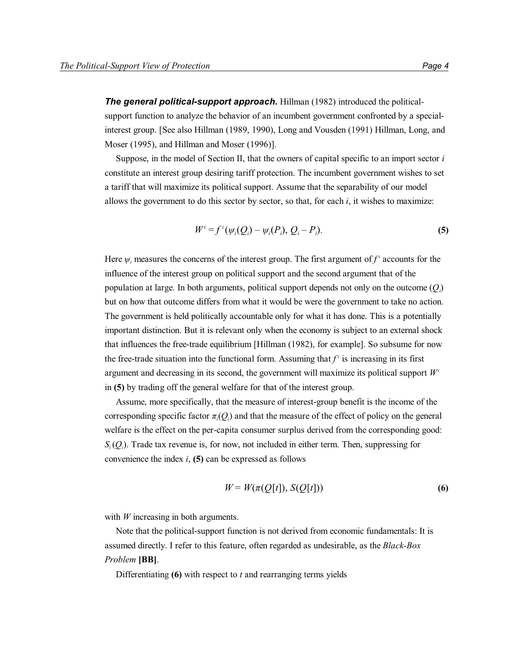**The general political-support approach.** Hillman (1982) introduced the politicalsupport function to analyze the behavior of an incumbent government confronted by a specialinterest group. [See also Hillman (1989, 1990), Long and Vousden (1991) Hillman, Long, and Moser (1995), and Hillman and Moser (1996)].

Suppose, in the model of Section II, that the owners of capital specific to an import sector *i* constitute an interest group desiring tariff protection. The incumbent government wishes to set a tariff that will maximize its political support. Assume that the separability of our model allows the government to do this sector by sector, so that, for each *i*, it wishes to maximize:

$$
W^{i} = f^{i}(\psi_{i}(Q_{i}) - \psi_{i}(P_{i}), Q_{i} - P_{i}).
$$
\n(5)

Here  $\psi_i$  measures the concerns of the interest group. The first argument of  $f^i$  accounts for the influence of the interest group on political support and the second argument that of the population at large. In both arguments, political support depends not only on the outcome (*Q*<sub>i</sub>) but on how that outcome differs from what it would be were the government to take no action. The government is held politically accountable only for what it has done. This is a potentially important distinction. But it is relevant only when the economy is subject to an external shock that influences the free-trade equilibrium [Hillman (1982), for example]. So subsume for now the free-trade situation into the functional form. Assuming that  $f<sup>i</sup>$  is increasing in its first argument and decreasing in its second, the government will maximize its political support *W<sup>i</sup>* in **(5)** by trading off the general welfare for that of the interest group.

Assume, more specifically, that the measure of interest-group benefit is the income of the corresponding specific factor  $\pi_i(Q_i)$  and that the measure of the effect of policy on the general welfare is the effect on the per-capita consumer surplus derived from the corresponding good:  $S_i(Q_i)$ . Trade tax revenue is, for now, not included in either term. Then, suppressing for convenience the index *i*, **(5)** can be expressed as follows

$$
W = W(\pi(Q[t]), S(Q[t]))
$$
\n(6)

with *W* increasing in both arguments.

Note that the political-support function is not derived from economic fundamentals: It is assumed directly. I refer to this feature, often regarded as undesirable, as the *Black-Box Problem* **[BB]**.

Differentiating **(6)** with respect to *t* and rearranging terms yields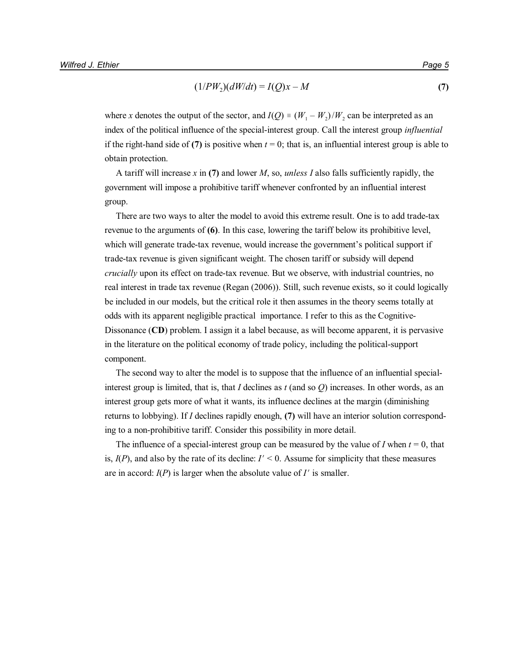$$
(1/PW2)(dW/dt) = I(Q)x - M
$$
\n(7)

where *x* denotes the output of the sector, and  $I(Q) = (W_1 - W_2)/W_2$  can be interpreted as an index of the political influence of the special-interest group. Call the interest group *influential* if the right-hand side of (7) is positive when  $t = 0$ ; that is, an influential interest group is able to obtain protection.

A tariff will increase *x* in **(7)** and lower *M*, so, *unless I* also falls sufficiently rapidly, the government will impose a prohibitive tariff whenever confronted by an influential interest group.

There are two ways to alter the model to avoid this extreme result. One is to add trade-tax revenue to the arguments of **(6)**. In this case, lowering the tariff below its prohibitive level, which will generate trade-tax revenue, would increase the government's political support if trade-tax revenue is given significant weight. The chosen tariff or subsidy will depend *crucially* upon its effect on trade-tax revenue. But we observe, with industrial countries, no real interest in trade tax revenue (Regan (2006)). Still, such revenue exists, so it could logically be included in our models, but the critical role it then assumes in the theory seems totally at odds with its apparent negligible practical importance. I refer to this as the Cognitive-Dissonance (**CD**) problem. I assign it a label because, as will become apparent, it is pervasive in the literature on the political economy of trade policy, including the political-support component.

The second way to alter the model is to suppose that the influence of an influential specialinterest group is limited, that is, that *I* declines as *t* (and so *Q*) increases. In other words, as an interest group gets more of what it wants, its influence declines at the margin (diminishing returns to lobbying). If *I* declines rapidly enough, **(7)** will have an interior solution corresponding to a non-prohibitive tariff. Consider this possibility in more detail.

The influence of a special-interest group can be measured by the value of *I* when  $t = 0$ , that is,  $I(P)$ , and also by the rate of its decline:  $I' \leq 0$ . Assume for simplicity that these measures are in accord:  $I(P)$  is larger when the absolute value of  $I'$  is smaller.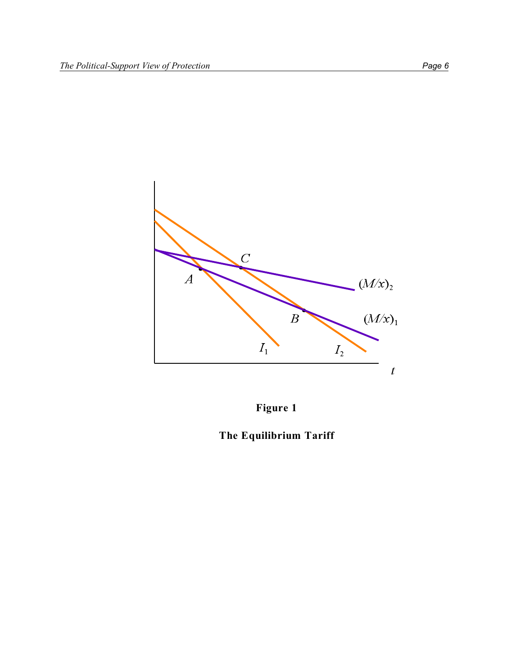

**Figure 1**

**The Equilibrium Tariff**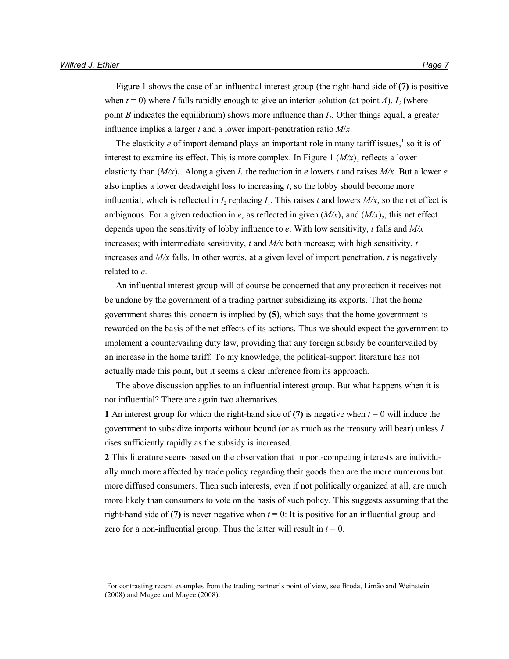Figure 1 shows the case of an influential interest group (the right-hand side of **(7)** is positive when  $t = 0$ ) where *I* falls rapidly enough to give an interior solution (at point *A*).  $I_2$  (where point *B* indicates the equilibrium) shows more influence than *I*<sub>1</sub>. Other things equal, a greater influence implies a larger *t* and a lower import-penetration ratio *M*/*x*.

The elasticity *e* of import demand plays an important role in many tariff issues,<sup>1</sup> so it is of interest to examine its effect. This is more complex. In Figure  $1 \left( M/x \right)_{2}$  reflects a lower elasticity than  $(M/x)$ . Along a given  $I_1$  the reduction in *e* lowers *t* and raises  $M/x$ . But a lower *e* also implies a lower deadweight loss to increasing *t*, so the lobby should become more influential, which is reflected in  $I_2$  replacing  $I_1$ . This raises *t* and lowers  $M/x$ , so the net effect is ambiguous. For a given reduction in *e*, as reflected in given  $(M/x)$ <sub>1</sub> and  $(M/x)$ <sub>2</sub>, this net effect depends upon the sensitivity of lobby influence to *e*. With low sensitivity, *t* falls and *M/x* increases; with intermediate sensitivity, *t* and *M/x* both increase; with high sensitivity, *t* increases and *M/x* falls. In other words, at a given level of import penetration, *t* is negatively related to *e*.

An influential interest group will of course be concerned that any protection it receives not be undone by the government of a trading partner subsidizing its exports. That the home government shares this concern is implied by **(5)**, which says that the home government is rewarded on the basis of the net effects of its actions. Thus we should expect the government to implement a countervailing duty law, providing that any foreign subsidy be countervailed by an increase in the home tariff. To my knowledge, the political-support literature has not actually made this point, but it seems a clear inference from its approach.

The above discussion applies to an influential interest group. But what happens when it is not influential? There are again two alternatives.

**1** An interest group for which the right-hand side of **(7)** is negative when *t* = 0 will induce the government to subsidize imports without bound (or as much as the treasury will bear) unless *I* rises sufficiently rapidly as the subsidy is increased.

**2** This literature seems based on the observation that import-competing interests are individually much more affected by trade policy regarding their goods then are the more numerous but more diffused consumers. Then such interests, even if not politically organized at all, are much more likely than consumers to vote on the basis of such policy. This suggests assuming that the right-hand side of (7) is never negative when  $t = 0$ : It is positive for an influential group and zero for a non-influential group. Thus the latter will result in  $t = 0$ .

For contrasting recent examples from the trading partner's point of view, see Broda, Limão and Weinstein 1 (2008) and Magee and Magee (2008).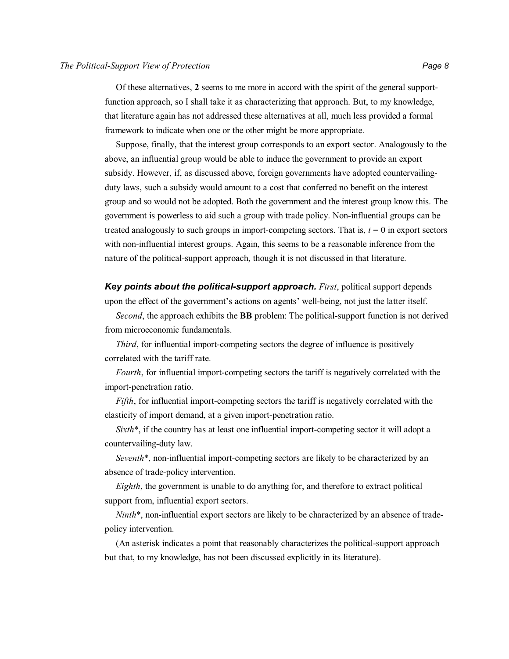Of these alternatives, **2** seems to me more in accord with the spirit of the general supportfunction approach, so I shall take it as characterizing that approach. But, to my knowledge, that literature again has not addressed these alternatives at all, much less provided a formal framework to indicate when one or the other might be more appropriate.

Suppose, finally, that the interest group corresponds to an export sector. Analogously to the above, an influential group would be able to induce the government to provide an export subsidy. However, if, as discussed above, foreign governments have adopted countervailingduty laws, such a subsidy would amount to a cost that conferred no benefit on the interest group and so would not be adopted. Both the government and the interest group know this. The government is powerless to aid such a group with trade policy. Non-influential groups can be treated analogously to such groups in import-competing sectors. That is,  $t = 0$  in export sectors with non-influential interest groups. Again, this seems to be a reasonable inference from the nature of the political-support approach, though it is not discussed in that literature.

*Key points about the political-support approach. First*, political support depends upon the effect of the government's actions on agents' well-being, not just the latter itself.

*Second*, the approach exhibits the **BB** problem: The political-support function is not derived from microeconomic fundamentals.

*Third*, for influential import-competing sectors the degree of influence is positively correlated with the tariff rate.

*Fourth*, for influential import-competing sectors the tariff is negatively correlated with the import-penetration ratio.

*Fifth*, for influential import-competing sectors the tariff is negatively correlated with the elasticity of import demand, at a given import-penetration ratio.

*Sixth*<sup>\*</sup>, if the country has at least one influential import-competing sector it will adopt a countervailing-duty law.

*Seventh*\*, non-influential import-competing sectors are likely to be characterized by an absence of trade-policy intervention.

*Eighth*, the government is unable to do anything for, and therefore to extract political support from, influential export sectors.

*Ninth*\*, non-influential export sectors are likely to be characterized by an absence of tradepolicy intervention.

(An asterisk indicates a point that reasonably characterizes the political-support approach but that, to my knowledge, has not been discussed explicitly in its literature).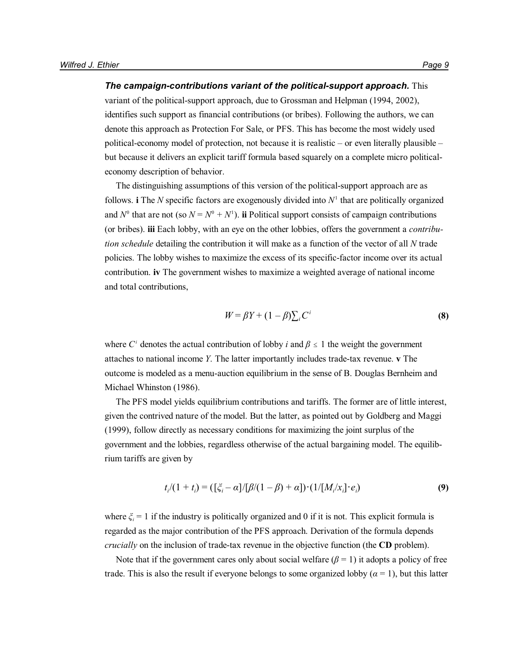*The campaign-contributions variant of the political-support approach.* This variant of the political-support approach, due to Grossman and Helpman (1994, 2002), identifies such support as financial contributions (or bribes). Following the authors, we can denote this approach as Protection For Sale, or PFS. This has become the most widely used political-economy model of protection, not because it is realistic – or even literally plausible – but because it delivers an explicit tariff formula based squarely on a complete micro politicaleconomy description of behavior.

The distinguishing assumptions of this version of the political-support approach are as follows. **i** The *N* specific factors are exogenously divided into  $N<sup>1</sup>$  that are politically organized and  $N^0$  that are not (so  $N = N^0 + N^1$ ). **ii** Political support consists of campaign contributions (or bribes). **iii** Each lobby, with an eye on the other lobbies, offers the government a *contribution schedule* detailing the contribution it will make as a function of the vector of all *N* trade policies. The lobby wishes to maximize the excess of its specific-factor income over its actual contribution. **iv** The government wishes to maximize a weighted average of national income and total contributions,

$$
W = \beta Y + (1 - \beta) \sum_{i} C^{i}
$$
 (8)

where  $C^i$  denotes the actual contribution of lobby *i* and  $\beta \leq 1$  the weight the government attaches to national income *Y*. The latter importantly includes trade-tax revenue. **v** The outcome is modeled as a menu-auction equilibrium in the sense of B. Douglas Bernheim and Michael Whinston (1986).

The PFS model yields equilibrium contributions and tariffs. The former are of little interest, given the contrived nature of the model. But the latter, as pointed out by Goldberg and Maggi (1999), follow directly as necessary conditions for maximizing the joint surplus of the government and the lobbies, regardless otherwise of the actual bargaining model. The equilibrium tariffs are given by

$$
t_i/(1+t_i) = ([\xi_i - \alpha]/[\beta/(1-\beta) + \alpha]) \cdot (1/[M_i/x_i] \cdot e_i)
$$
\n(9)

where  $\xi$ <sub>*i*</sub> = 1 if the industry is politically organized and 0 if it is not. This explicit formula is regarded as the major contribution of the PFS approach. Derivation of the formula depends *crucially* on the inclusion of trade-tax revenue in the objective function (the **CD** problem).

Note that if the government cares only about social welfare  $(\beta = 1)$  it adopts a policy of free trade. This is also the result if everyone belongs to some organized lobby  $(a = 1)$ , but this latter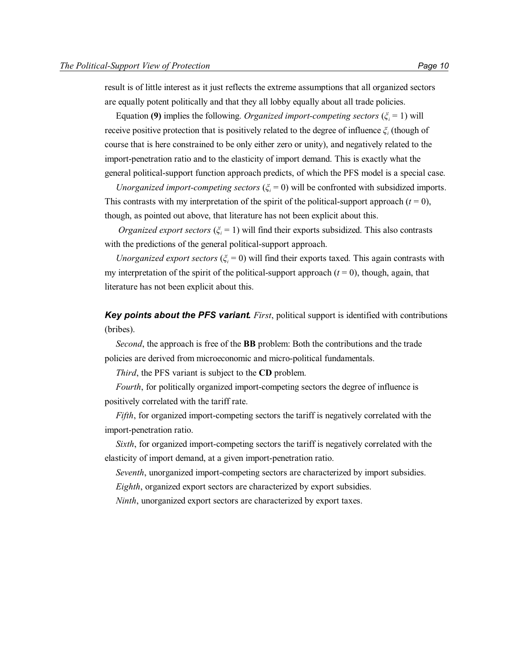result is of little interest as it just reflects the extreme assumptions that all organized sectors are equally potent politically and that they all lobby equally about all trade policies.

Equation (9) implies the following. *Organized import-competing sectors* ( $\xi_i = 1$ ) will receive positive protection that is positively related to the degree of influence  $\zeta_i$  (though of course that is here constrained to be only either zero or unity), and negatively related to the import-penetration ratio and to the elasticity of import demand. This is exactly what the general political-support function approach predicts, of which the PFS model is a special case.

*Unorganized import-competing sectors* ( $\zeta$ <sup>*i*</sup> = 0) will be confronted with subsidized imports. This contrasts with my interpretation of the spirit of the political-support approach  $(t = 0)$ , though, as pointed out above, that literature has not been explicit about this.

*Organized export sectors* ( $\xi$ <sup>*i*</sup> = 1) will find their exports subsidized. This also contrasts with the predictions of the general political-support approach.

*Unorganized export sectors* ( $\zeta$ <sup>*i*</sup> = 0) will find their exports taxed. This again contrasts with my interpretation of the spirit of the political-support approach  $(t = 0)$ , though, again, that literature has not been explicit about this.

*Key points about the PFS variant. First*, political support is identified with contributions (bribes).

*Second*, the approach is free of the **BB** problem: Both the contributions and the trade policies are derived from microeconomic and micro-political fundamentals.

*Third*, the PFS variant is subject to the **CD** problem.

*Fourth*, for politically organized import-competing sectors the degree of influence is positively correlated with the tariff rate.

*Fifth*, for organized import-competing sectors the tariff is negatively correlated with the import-penetration ratio.

*Sixth*, for organized import-competing sectors the tariff is negatively correlated with the elasticity of import demand, at a given import-penetration ratio.

*Seventh*, unorganized import-competing sectors are characterized by import subsidies.

*Eighth*, organized export sectors are characterized by export subsidies.

*Ninth*, unorganized export sectors are characterized by export taxes.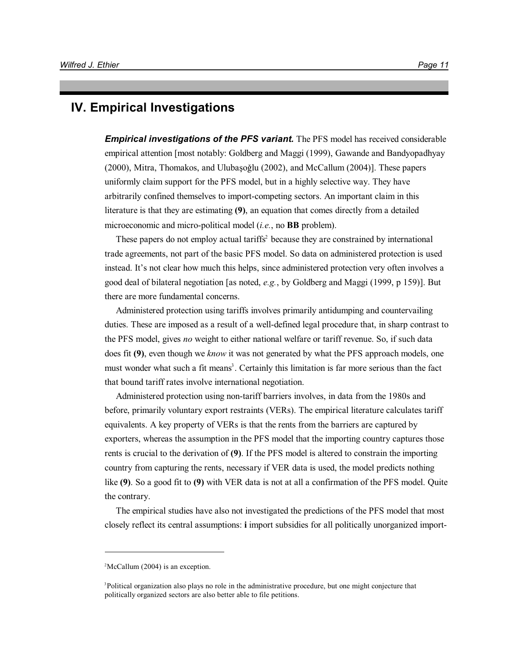#### **IV. Empirical Investigations**

*Empirical investigations of the PFS variant.* The PFS model has received considerable empirical attention [most notably: Goldberg and Maggi (1999), Gawande and Bandyopadhyay  $(2000)$ , Mitra, Thomakos, and Ulubaşoğlu  $(2002)$ , and McCallum  $(2004)$ ]. These papers uniformly claim support for the PFS model, but in a highly selective way. They have arbitrarily confined themselves to import-competing sectors. An important claim in this literature is that they are estimating **(9)**, an equation that comes directly from a detailed microeconomic and micro-political model (*i.e.*, no **BB** problem).

These papers do not employ actual tariffs<sup>2</sup> because they are constrained by international trade agreements, not part of the basic PFS model. So data on administered protection is used instead. It's not clear how much this helps, since administered protection very often involves a good deal of bilateral negotiation [as noted, *e.g.*, by Goldberg and Maggi (1999, p 159)]. But there are more fundamental concerns.

Administered protection using tariffs involves primarily antidumping and countervailing duties. These are imposed as a result of a well-defined legal procedure that, in sharp contrast to the PFS model, gives *no* weight to either national welfare or tariff revenue. So, if such data does fit **(9)**, even though we *know* it was not generated by what the PFS approach models, one must wonder what such a fit means<sup>3</sup>. Certainly this limitation is far more serious than the fact that bound tariff rates involve international negotiation.

Administered protection using non-tariff barriers involves, in data from the 1980s and before, primarily voluntary export restraints (VERs). The empirical literature calculates tariff equivalents. A key property of VERs is that the rents from the barriers are captured by exporters, whereas the assumption in the PFS model that the importing country captures those rents is crucial to the derivation of **(9)**. If the PFS model is altered to constrain the importing country from capturing the rents, necessary if VER data is used, the model predicts nothing like **(9)**. So a good fit to **(9)** with VER data is not at all a confirmation of the PFS model. Quite the contrary.

The empirical studies have also not investigated the predictions of the PFS model that most closely reflect its central assumptions: **i** import subsidies for all politically unorganized import-

 ${}^{2}$ McCallum (2004) is an exception.

<sup>&</sup>lt;sup>3</sup>Political organization also plays no role in the administrative procedure, but one might conjecture that politically organized sectors are also better able to file petitions.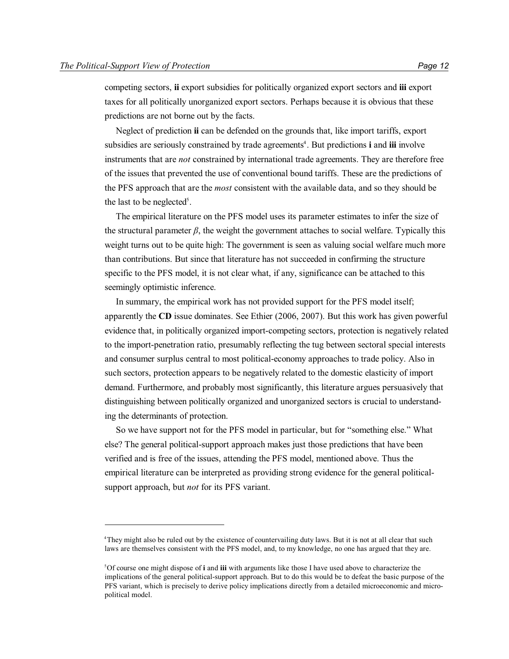competing sectors, **ii** export subsidies for politically organized export sectors and **iii** export taxes for all politically unorganized export sectors. Perhaps because it is obvious that these predictions are not borne out by the facts.

Neglect of prediction **ii** can be defended on the grounds that, like import tariffs, export subsidies are seriously constrained by trade agreements<sup>4</sup>. But predictions *i* and *iii* involve instruments that are *not* constrained by international trade agreements. They are therefore free of the issues that prevented the use of conventional bound tariffs. These are the predictions of the PFS approach that are the *most* consistent with the available data, and so they should be the last to be neglected<sup>5</sup>.

The empirical literature on the PFS model uses its parameter estimates to infer the size of the structural parameter  $\beta$ , the weight the government attaches to social welfare. Typically this weight turns out to be quite high: The government is seen as valuing social welfare much more than contributions. But since that literature has not succeeded in confirming the structure specific to the PFS model, it is not clear what, if any, significance can be attached to this seemingly optimistic inference.

In summary, the empirical work has not provided support for the PFS model itself; apparently the **CD** issue dominates. See Ethier (2006, 2007). But this work has given powerful evidence that, in politically organized import-competing sectors, protection is negatively related to the import-penetration ratio, presumably reflecting the tug between sectoral special interests and consumer surplus central to most political-economy approaches to trade policy. Also in such sectors, protection appears to be negatively related to the domestic elasticity of import demand. Furthermore, and probably most significantly, this literature argues persuasively that distinguishing between politically organized and unorganized sectors is crucial to understanding the determinants of protection.

So we have support not for the PFS model in particular, but for "something else." What else? The general political-support approach makes just those predictions that have been verified and is free of the issues, attending the PFS model, mentioned above. Thus the empirical literature can be interpreted as providing strong evidence for the general politicalsupport approach, but *not* for its PFS variant.

<sup>&</sup>lt;sup>4</sup>They might also be ruled out by the existence of countervailing duty laws. But it is not at all clear that such laws are themselves consistent with the PFS model, and, to my knowledge, no one has argued that they are.

<sup>&</sup>lt;sup>5</sup>Of course one might dispose of **i** and **iii** with arguments like those I have used above to characterize the implications of the general political-support approach. But to do this would be to defeat the basic purpose of the PFS variant, which is precisely to derive policy implications directly from a detailed microeconomic and micropolitical model.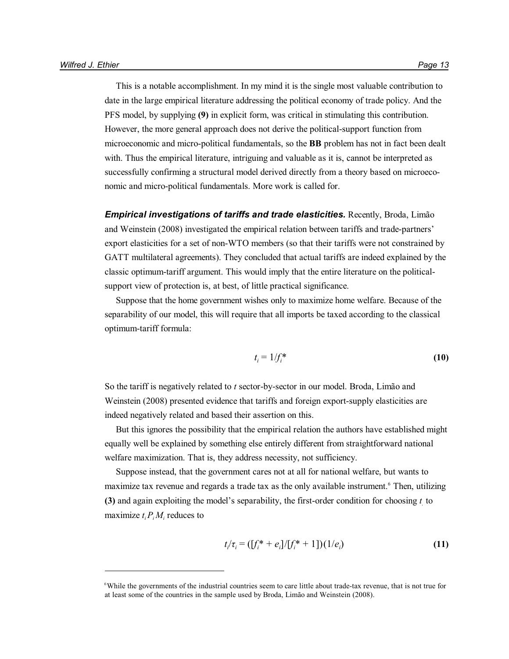This is a notable accomplishment. In my mind it is the single most valuable contribution to date in the large empirical literature addressing the political economy of trade policy. And the PFS model, by supplying **(9)** in explicit form, was critical in stimulating this contribution. However, the more general approach does not derive the political-support function from microeconomic and micro-political fundamentals, so the **BB** problem has not in fact been dealt with. Thus the empirical literature, intriguing and valuable as it is, cannot be interpreted as successfully confirming a structural model derived directly from a theory based on microeconomic and micro-political fundamentals. More work is called for.

*Empirical investigations of tariffs and trade elasticities.* Recently, Broda, Limão and Weinstein (2008) investigated the empirical relation between tariffs and trade-partners' export elasticities for a set of non-WTO members (so that their tariffs were not constrained by GATT multilateral agreements). They concluded that actual tariffs are indeed explained by the classic optimum-tariff argument. This would imply that the entire literature on the politicalsupport view of protection is, at best, of little practical significance.

Suppose that the home government wishes only to maximize home welfare. Because of the separability of our model, this will require that all imports be taxed according to the classical optimum-tariff formula:

$$
t_i = 1/f_i^* \tag{10}
$$

So the tariff is negatively related to *t* sector-by-sector in our model. Broda, Limão and Weinstein (2008) presented evidence that tariffs and foreign export-supply elasticities are indeed negatively related and based their assertion on this.

But this ignores the possibility that the empirical relation the authors have established might equally well be explained by something else entirely different from straightforward national welfare maximization. That is, they address necessity, not sufficiency.

Suppose instead, that the government cares not at all for national welfare, but wants to maximize tax revenue and regards a trade tax as the only available instrument.<sup>6</sup> Then, utilizing *,* **(3)** and again exploiting the model's separability, the first-order condition for choosing *t* to maximize  $t_i P_i M_i$  reduces to

$$
t_i/\tau_i = (\left[f_i^* + e_i\right]/\left[f_i^* + 1\right])(1/e_i) \tag{11}
$$

<sup>&</sup>lt;sup>6</sup>While the governments of the industrial countries seem to care little about trade-tax revenue, that is not true for at least some of the countries in the sample used by Broda, Limão and Weinstein (2008).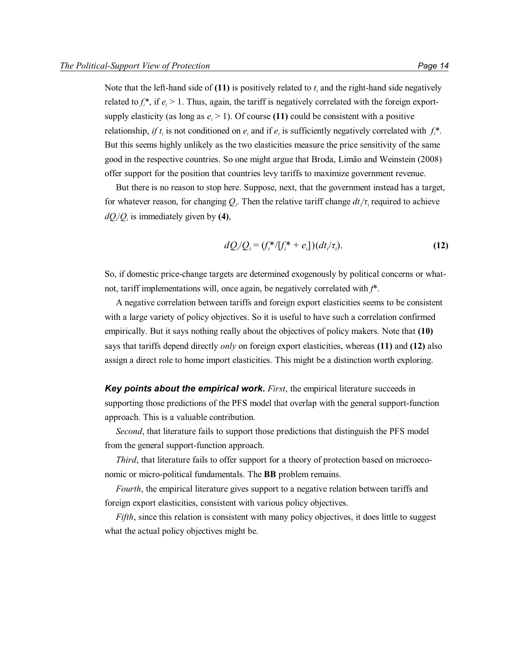Note that the left-hand side of  $(11)$  is positively related to  $t_i$  and the right-hand side negatively *i* related to  $f_i^*$ , if  $e_i > 1$ . Thus, again, the tariff is negatively correlated with the foreign exportsupply elasticity (as long as  $e_i > 1$ ). Of course (11) could be consistent with a positive *i* relationship, *if*  $t_i$  is not conditioned on  $e_i$  and if  $e_i$  is sufficiently negatively correlated with  $f_i^*$ . But this seems highly unlikely as the two elasticities measure the price sensitivity of the same good in the respective countries. So one might argue that Broda, Limão and Weinstein (2008) offer support for the position that countries levy tariffs to maximize government revenue.

But there is no reason to stop here. Suppose, next, that the government instead has a target, *for whatever reason, for changing*  $Q_i$ *. Then the relative tariff change*  $dt/\tau_i$  *required to achieve*  $dQ_i/Q_i$  is immediately given by **(4)**,

$$
dQ_i/Q_i = (f_i^*/[f_i^* + e_i])(dt_i/\tau_i).
$$
 (12)

So, if domestic price-change targets are determined exogenously by political concerns or whatnot, tariff implementations will, once again, be negatively correlated with *f*\*.

A negative correlation between tariffs and foreign export elasticities seems to be consistent with a large variety of policy objectives. So it is useful to have such a correlation confirmed empirically. But it says nothing really about the objectives of policy makers. Note that **(10)** says that tariffs depend directly *only* on foreign export elasticities, whereas **(11)** and **(12)** also assign a direct role to home import elasticities. This might be a distinction worth exploring.

*Key points about the empirical work. First*, the empirical literature succeeds in supporting those predictions of the PFS model that overlap with the general support-function approach. This is a valuable contribution.

*Second*, that literature fails to support those predictions that distinguish the PFS model from the general support-function approach.

*Third*, that literature fails to offer support for a theory of protection based on microeconomic or micro-political fundamentals. The **BB** problem remains.

*Fourth*, the empirical literature gives support to a negative relation between tariffs and foreign export elasticities, consistent with various policy objectives.

*Fifth*, since this relation is consistent with many policy objectives, it does little to suggest what the actual policy objectives might be.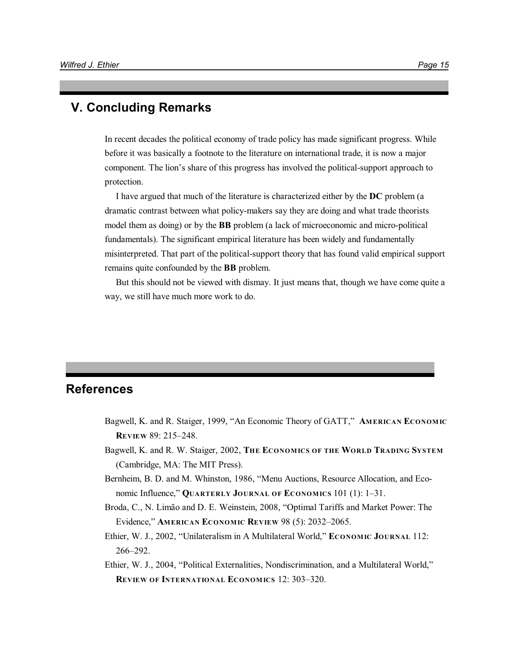## **V. Concluding Remarks**

In recent decades the political economy of trade policy has made significant progress. While before it was basically a footnote to the literature on international trade, it is now a major component. The lion's share of this progress has involved the political-support approach to protection.

I have argued that much of the literature is characterized either by the **DC** problem (a dramatic contrast between what policy-makers say they are doing and what trade theorists model them as doing) or by the **BB** problem (a lack of microeconomic and micro-political fundamentals). The significant empirical literature has been widely and fundamentally misinterpreted. That part of the political-support theory that has found valid empirical support remains quite confounded by the **BB** problem.

But this should not be viewed with dismay. It just means that, though we have come quite a way, we still have much more work to do.

#### **References**

- Bagwell, K. and R. Staiger, 1999, "An Economic Theory of GATT," **AMERICAN ECONOMIC REVIEW** 89: 215–248.
- Bagwell, K. and R. W. Staiger, 2002, **THE ECONOMICS OF THE WORLD TRADING SYSTEM** (Cambridge, MA: The MIT Press).
- Bernheim, B. D. and M. Whinston, 1986, "Menu Auctions, Resource Allocation, and Economic Influence," **QUARTERLY JOURNAL OF ECONOMICS** 101 (1): 1–31.
- Broda, C., N. Limão and D. E. Weinstein, 2008, "Optimal Tariffs and Market Power: The Evidence," **AMERICAN ECONOMIC REVIEW** 98 (5): 2032–2065.
- Ethier, W. J., 2002, "Unilateralism in A Multilateral World," **ECONOMIC JOURNAL** 112: 266–292.
- Ethier, W. J., 2004, "Political Externalities, Nondiscrimination, and a Multilateral World," **REVIEW OF INTERNATIONAL ECONOMICS** 12: 303–320.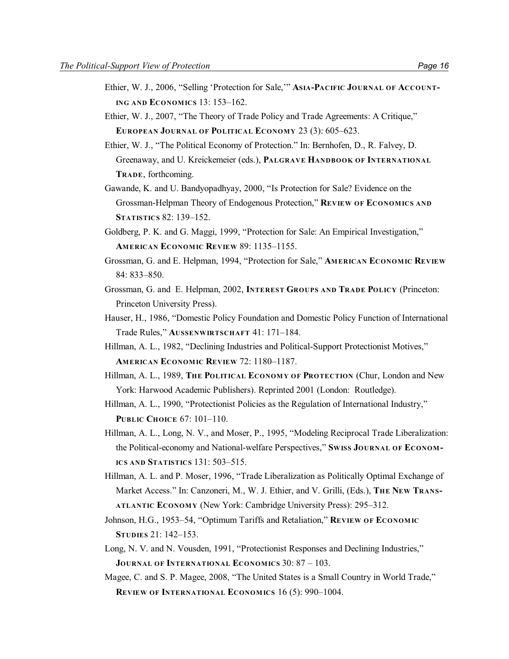- Ethier, W. J., 2007, "The Theory of Trade Policy and Trade Agreements: A Critique," **EUROPEAN JOURNAL OF POLITICAL ECONOMY** 23 (3): 605–623.
- Ethier, W. J., "The Political Economy of Protection." In: Bernhofen, D., R. Falvey, D. Greenaway, and U. Kreickemeier (eds.), **PALGRAVE HANDBOOK OF INTERNATIONAL TRADE**, forthcoming.
- Gawande, K. and U. Bandyopadhyay, 2000, "Is Protection for Sale? Evidence on the Grossman-Helpman Theory of Endogenous Protection," **REVIEW OF ECONOMICS AND STATISTICS** 82: 139–152.
- Goldberg, P. K. and G. Maggi, 1999, "Protection for Sale: An Empirical Investigation," **AMERICAN ECONOMIC REVIEW** 89: 1135–1155.
- Grossman, G. and E. Helpman, 1994, "Protection for Sale," **AMERICAN ECONOMIC REVIEW** 84: 833–850.
- Grossman, G. and E. Helpman, 2002, **INTEREST GROUPS AND TRADE POLICY** (Princeton: Princeton University Press).
- Hauser, H., 1986, "Domestic Policy Foundation and Domestic Policy Function of International Trade Rules," **AUSSENWIRTSCHAFT** 41: 171–184.
- Hillman, A. L., 1982, "Declining Industries and Political-Support Protectionist Motives," **AMERICAN ECONOMIC REVIEW** 72: 1180–1187.
- Hillman, A. L., 1989, **THE POLITICAL ECONOMY OF PROTECTION** (Chur, London and New York: Harwood Academic Publishers). Reprinted 2001 (London: Routledge).

Hillman, A. L., 1990, "Protectionist Policies as the Regulation of International Industry," **PUBLIC CHOICE** 67: 101–110.

- Hillman, A. L., Long, N. V., and Moser, P., 1995, "Modeling Reciprocal Trade Liberalization: the Political-economy and National-welfare Perspectives," **SWISS JOURNAL OF ECONOM-ICS AND STATISTICS** 131: 503–515.
- Hillman, A. L. and P. Moser, 1996, "Trade Liberalization as Politically Optimal Exchange of Market Access." In: Canzoneri, M., W. J. Ethier, and V. Grilli, (Eds.), **THE NEW TRANS-ATLANTIC ECONOMY** (New York: Cambridge University Press): 295–312.
- Johnson, H.G., 1953–54, "Optimum Tariffs and Retaliation," **REVIEW OF ECONOMIC STUDIES** 21: 142–153.
- Long, N. V. and N. Vousden, 1991, "Protectionist Responses and Declining Industries," **JOURNAL OF INTERNATIONAL ECONOMICS** 30: 87 – 103.
- Magee, C. and S. P. Magee, 2008, "The United States is a Small Country in World Trade," **REVIEW OF INTERNATIONAL ECONOMICS** 16 (5): 990–1004.